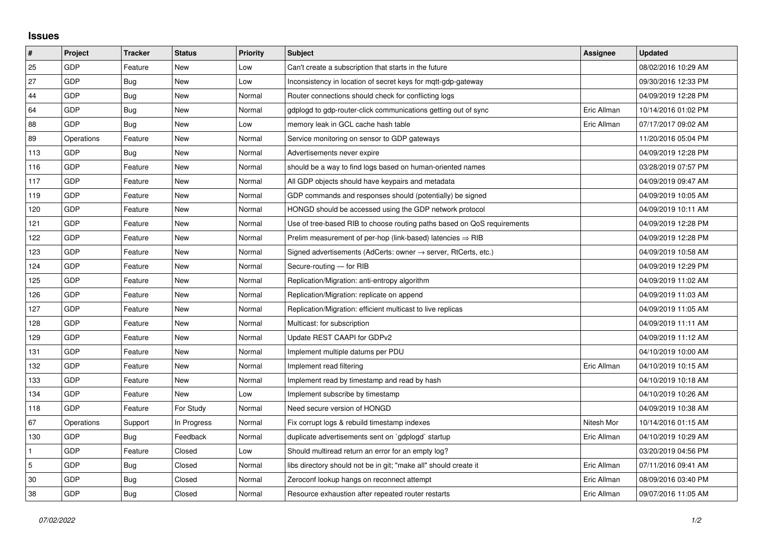## **Issues**

| #   | Project    | <b>Tracker</b> | <b>Status</b> | <b>Priority</b> | <b>Subject</b>                                                             | Assignee    | <b>Updated</b>      |
|-----|------------|----------------|---------------|-----------------|----------------------------------------------------------------------------|-------------|---------------------|
| 25  | GDP        | Feature        | <b>New</b>    | Low             | Can't create a subscription that starts in the future                      |             | 08/02/2016 10:29 AM |
| 27  | GDP        | Bug            | New           | Low             | Inconsistency in location of secret keys for mqtt-gdp-gateway              |             | 09/30/2016 12:33 PM |
| 44  | GDP        | Bug            | New           | Normal          | Router connections should check for conflicting logs                       |             | 04/09/2019 12:28 PM |
| 64  | GDP        | <b>Bug</b>     | <b>New</b>    | Normal          | gdplogd to gdp-router-click communications getting out of sync             | Eric Allman | 10/14/2016 01:02 PM |
| 88  | GDP        | <b>Bug</b>     | New           | Low             | memory leak in GCL cache hash table                                        | Eric Allman | 07/17/2017 09:02 AM |
| 89  | Operations | Feature        | New           | Normal          | Service monitoring on sensor to GDP gateways                               |             | 11/20/2016 05:04 PM |
| 113 | GDP        | <b>Bug</b>     | <b>New</b>    | Normal          | Advertisements never expire                                                |             | 04/09/2019 12:28 PM |
| 116 | GDP        | Feature        | New           | Normal          | should be a way to find logs based on human-oriented names                 |             | 03/28/2019 07:57 PM |
| 117 | GDP        | Feature        | <b>New</b>    | Normal          | All GDP objects should have keypairs and metadata                          |             | 04/09/2019 09:47 AM |
| 119 | GDP        | Feature        | New           | Normal          | GDP commands and responses should (potentially) be signed                  |             | 04/09/2019 10:05 AM |
| 120 | GDP        | Feature        | New           | Normal          | HONGD should be accessed using the GDP network protocol                    |             | 04/09/2019 10:11 AM |
| 121 | GDP        | Feature        | <b>New</b>    | Normal          | Use of tree-based RIB to choose routing paths based on QoS requirements    |             | 04/09/2019 12:28 PM |
| 122 | GDP        | Feature        | New           | Normal          | Prelim measurement of per-hop (link-based) latencies $\Rightarrow$ RIB     |             | 04/09/2019 12:28 PM |
| 123 | GDP        | Feature        | New           | Normal          | Signed advertisements (AdCerts: owner $\rightarrow$ server, RtCerts, etc.) |             | 04/09/2019 10:58 AM |
| 124 | GDP        | Feature        | <b>New</b>    | Normal          | Secure-routing - for RIB                                                   |             | 04/09/2019 12:29 PM |
| 125 | GDP        | Feature        | New           | Normal          | Replication/Migration: anti-entropy algorithm                              |             | 04/09/2019 11:02 AM |
| 126 | GDP        | Feature        | New           | Normal          | Replication/Migration: replicate on append                                 |             | 04/09/2019 11:03 AM |
| 127 | GDP        | Feature        | New           | Normal          | Replication/Migration: efficient multicast to live replicas                |             | 04/09/2019 11:05 AM |
| 128 | GDP        | Feature        | New           | Normal          | Multicast: for subscription                                                |             | 04/09/2019 11:11 AM |
| 129 | GDP        | Feature        | New           | Normal          | Update REST CAAPI for GDPv2                                                |             | 04/09/2019 11:12 AM |
| 131 | GDP        | Feature        | New           | Normal          | Implement multiple datums per PDU                                          |             | 04/10/2019 10:00 AM |
| 132 | GDP        | Feature        | New           | Normal          | Implement read filtering                                                   | Eric Allman | 04/10/2019 10:15 AM |
| 133 | GDP        | Feature        | <b>New</b>    | Normal          | Implement read by timestamp and read by hash                               |             | 04/10/2019 10:18 AM |
| 134 | GDP        | Feature        | New           | Low             | Implement subscribe by timestamp                                           |             | 04/10/2019 10:26 AM |
| 118 | GDP        | Feature        | For Study     | Normal          | Need secure version of HONGD                                               |             | 04/09/2019 10:38 AM |
| 67  | Operations | Support        | In Progress   | Normal          | Fix corrupt logs & rebuild timestamp indexes                               | Nitesh Mor  | 10/14/2016 01:15 AM |
| 130 | GDP        | Bug            | Feedback      | Normal          | duplicate advertisements sent on `gdplogd` startup                         | Eric Allman | 04/10/2019 10:29 AM |
|     | GDP        | Feature        | Closed        | Low             | Should multiread return an error for an empty log?                         |             | 03/20/2019 04:56 PM |
| 5   | GDP        | Bug            | Closed        | Normal          | libs directory should not be in git; "make all" should create it           | Eric Allman | 07/11/2016 09:41 AM |
| 30  | GDP        | Bug            | Closed        | Normal          | Zeroconf lookup hangs on reconnect attempt                                 | Eric Allman | 08/09/2016 03:40 PM |
| 38  | GDP        | Bug            | Closed        | Normal          | Resource exhaustion after repeated router restarts                         | Eric Allman | 09/07/2016 11:05 AM |